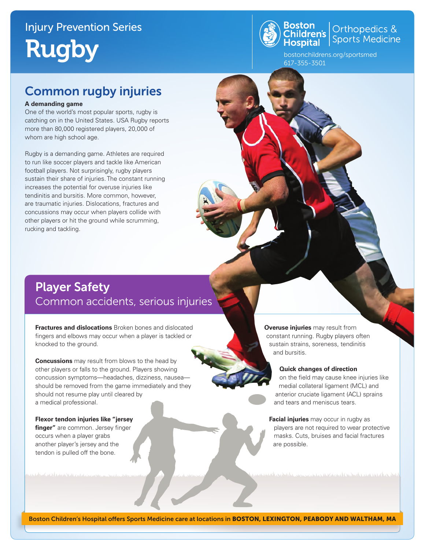# Injury Prevention Series Rugby



**Boston**<br>Children's **Children's** Sports Medicine

bostonchildrens.org/sportsmed 617-355-3501

### Common rugby injuries

#### **A demanding game**

One of the world's most popular sports, rugby is catching on in the United States. USA Rugby reports more than 80,000 registered players, 20,000 of whom are high school age.

Rugby is a demanding game. Athletes are required to run like soccer players and tackle like American football players. Not surprisingly, rugby players sustain their share of injuries. The constant running increases the potential for overuse injuries like tendinitis and bursitis. More common, however, are traumatic injuries. Dislocations, fractures and concussions may occur when players collide with other players or hit the ground while scrumming, rucking and tackling.

### Player Safety Common accidents, serious injuries

**Fractures and dislocations** Broken bones and dislocated fingers and elbows may occur when a player is tackled or knocked to the ground.

**Concussions** may result from blows to the head by other players or falls to the ground. Players showing concussion symptoms—headaches, dizziness, nausea should be removed from the game immediately and they should not resume play until cleared by a medical professional.

**Flexor tendon injuries like "jersey finger"** are common. Jersey finger occurs when a player grabs another player's jersey and the tendon is pulled off the bone.

**Overuse injuries** may result from constant running. Rugby players often sustain strains, soreness, tendinitis and bursitis.

#### **Quick changes of direction**

on the field may cause knee injuries like medial collateral ligament (MCL) and anterior cruciate ligament (ACL) sprains and tears and meniscus tears.

**Facial injuries** may occur in rugby as players are not required to wear protective masks. Cuts, bruises and facial fractures are possible.

mar ang ang komponing ng ang karapa

Boston Children's Hospital offers Sports Medicine care at locations in BOSTON, LEXINGTON, PEABODY AND WALTHAM, MA